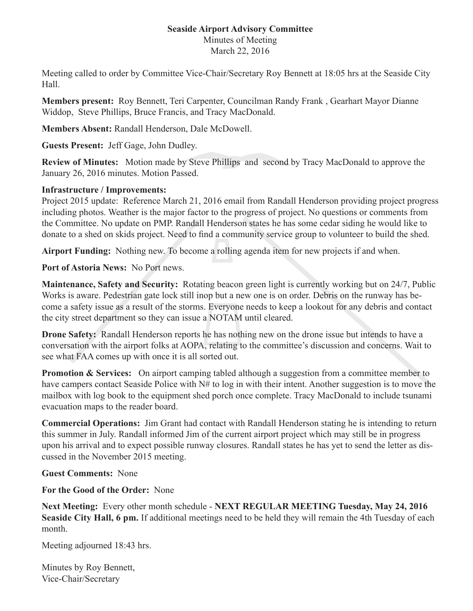## **Seaside Airport Advisory Committee**  Minutes of Meeting March 22, 2016

Meeting called to order by Committee Vice-Chair/Secretary Roy Bennett at 18:05 hrs at the Seaside City Hall.

**Members present:** Roy Bennett, Teri Carpenter, Councilman Randy Frank , Gearhart Mayor Dianne Widdop, Steve Phillips, Bruce Francis, and Tracy MacDonald.

**Members Absent:** Randall Henderson, Dale McDowell.

**Guests Present:** Jeff Gage, John Dudley.

**Review of Minutes:** Motion made by Steve Phillips and second by Tracy MacDonald to approve the January 26, 2016 minutes. Motion Passed.

## **Infrastructure / Improvements:**

Project 2015 update: Reference March 21, 2016 email from Randall Henderson providing project progress including photos. Weather is the major factor to the progress of project. No questions or comments from the Committee. No update on PMP. Randall Henderson states he has some cedar siding he would like to donate to a shed on skids project. Need to find a community service group to volunteer to build the shed.

**Airport Funding:** Nothing new. To become a rolling agenda item for new projects if and when.

**Port of Astoria News:** No Port news.

**Maintenance, Safety and Security:** Rotating beacon green light is currently working but on 24/7, Public Works is aware. Pedestrian gate lock still inop but a new one is on order. Debris on the runway has become a safety issue as a result of the storms. Everyone needs to keep a lookout for any debris and contact the city street department so they can issue a NOTAM until cleared.

**Drone Safety:** Randall Henderson reports he has nothing new on the drone issue but intends to have a conversation with the airport folks at AOPA, relating to the committee's discussion and concerns. Wait to see what FAA comes up with once it is all sorted out.

**Promotion & Services:** On airport camping tabled although a suggestion from a committee member to have campers contact Seaside Police with N# to log in with their intent. Another suggestion is to move the mailbox with log book to the equipment shed porch once complete. Tracy MacDonald to include tsunami evacuation maps to the reader board.

**Commercial Operations:** Jim Grant had contact with Randall Henderson stating he is intending to return this summer in July. Randall informed Jim of the current airport project which may still be in progress upon his arrival and to expect possible runway closures. Randall states he has yet to send the letter as discussed in the November 2015 meeting.

**Guest Comments:** None

**For the Good of the Order:** None

**Next Meeting:** Every other month schedule - **NEXT REGULAR MEETING Tuesday, May 24, 2016 Seaside City Hall, 6 pm.** If additional meetings need to be held they will remain the 4th Tuesday of each month.

Meeting adjourned 18:43 hrs.

Minutes by Roy Bennett, Vice-Chair/Secretary